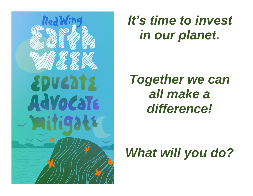

# *It's time to invest in our planet.*

# *Together we can all make a difference!*

# *What will you do?*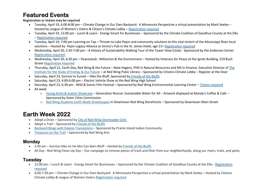## **Featured Events**

**Registration or tickets may be required**

- Tuesday, April 19, 6:00-8:00 pm Climate Change in Our Own Backyard: A Minnesota Perspective a virtual presentation by Mark Seeley Hosted by League of Women's Voters & Citizen's Climate Lobby – [Registration required](https://bit.ly/3JpcTOG)
- Tuesday, April 19, 12:00 pm Lunch & Learn Energy Smart for Businesses Sponsored by the Climate Coalition of Goodhue County at the Elks – Registration required
- Tuesday, April 19, 7:00 pm Learning on Tap Threats to Lake Pepin and community solutions to this vital stretch of the Mississippi River local solutions – Hosted by Pepin Legacy Alliance at Jimmy's Pub in the St. James Hotel, age 21+ [Registration](https://redwing.cr3.rschooltoday.com/public/getclass/category_id/28/program_id/3) required
- Wednesday, April 20, 5:30-7:00 pm A History of Sustainability Walking Tour of the Tower View Estate Sponsored by the Anderson Center [Registration required](https://www.universe.com/events/a-history-of-sustainability-walking-tour-tickets-H5QSGM)
- Wednesday, April 20, 6:30 pm Peacestock: Militarism & the Environment Hosted by Veterans for Peace at the Ignite Building, 319 Bush Stree[t Registration required](https://www.eventbrite.com/e/earth-day-look-at-militarism-and-the-environment-live-and-zoom-registration-302208201867)
- Thursday, April 21, Earth Day, Red Wing & the Future Nate Hagens, PHD in Natural Resources and MS in Finance, Executive Director of The [Institute for the Study of Energy & Our Future](https://www.energyandourfuture.org/) – at Red Wing Pubic Library – Sponsored by Citizens Climate Lobby – Register at the Door
- Saturday, April 23, Sunrise to Sunset Hike the Bluff, Sponsored by [Friends of the Bluffs](http://www.redwingbluffs.org/page-1601465)
- Saturday, April 23, 4:00-6:00 pm Electric Vehicle Show at the Red Wing High School
- Saturday, April 23, 6:30 pm Wild & Scenic Film Festival Sponsored by Red Wing Environmental Learning Center Tickets [required](http://redwingelc.com/)
- All week
	- o [Young Artist & Author Showcase](https://www.facebook.com/events/1231242757616155) Generation Rescue: Sustainable Water for All Artwork displayed at Mandy's Coffee & Cafe Sponsored by Sister Cities Commission
	- o [Red Wing Students Earth Week Streetscapes](https://sistercities.org/2022-yaas/) in Downtown Red Wing Storefronts Sponsored by Downtown Main Street

## **Earth Week 2022**

- Adopt a Drain Sponsored b[y City of Red Wing Stormwater Unit](https://www.red-wing.org/1061/Adopt-a-Drain-Program)
- Adopt a Trail Sponsored by [Friends of the Bluffs](http://www.redwingbluffs.org/page-1601465)
- Backyard Bingo [with Dakota Translations](https://www.eventbrite.com/e/earth-day-look-at-militarism-and-the-environment-live-and-zoom-registration-302208201867) Sponsored by Prairie Island Indian Community
- [Treasures on the Trail](https://redwingarts.org/treasures-on-the-trail) Sponsored by Red Wing Arts

#### **Monday**

- 5:30 am Sunrise Hike on He Mni Can-Barn Bluff Hosted by [Friends of the Bluffs](http://www.redwingbluffs.org/page-1601465)
- All Day Red Wing Clean-Up Day Our campaign to remove pieces of trash and litter from our neighborhoods, along our rivers, trails, and parks

### **Tuesday**

- 12:00 pm Lunch & Learn Energy Smart for Businesses Sponsored by the Climate Coalition of Goodhue County at the Elks Registration [required](http://www.redwingchamber.com/)
- 6:00-7:30 pm Climate Change in Our Own Backyard: A Minnesota Perspective a virtual presentation by Mark Seeley Hosted by Citizens Climate Lobby & League of Women Voters [Registration required](https://bit.ly/3JpcTOG)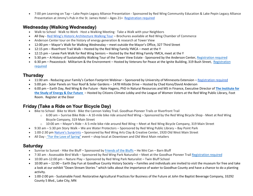• 7:00 pm Learning on Tap – Lake Pepin Legacy Alliance Presentation - Sponsored by Red Wing Community Education & Lake Pepin Legacy Alliance Presentation at Jimmy's Pub in the St. James Hotel – Ages 21+ [Registration required](https://redwing.cr3.rschooltoday.com/public/getclass/category_id/28/program_id/3)

#### **Wednesday (Walking Wednesday)**

- Walk to School · Walk to Work · Host a Walking Meeting · Take a Walk with your Neighbors
- All Day [Red Wing's Historic Architecture Walking Tour](http://www.red-wing.org/DocumentCenter/View/714/Historic-Walking-Tour-PDF) Brochures available at Red Wing Chamber of Commerce
- Anderson Center tour on the history of energy generation & research at Tower View
- 12:00 pm Mayor's Walk for Walking Wednesday meet outside the Mayor's Office, 327 Third Street
- 12:15 pm Riverfront Trail Walk Hosted by the Red Wing Family YMCA meet at the Y
- 12:15 pm Levee Park Walk for Red Wing Seniors Hosted by the Red Wing Family YMCA, meet at the Y
- 5:30 pm A History of Sustainability Walking Tour of the Tower View Estate Sponsored by the Anderson Center[, Registration required](https://www.universe.com/events/a-history-of-sustainability-walking-tour-tickets-H5QSGM)
- 6:30 pm Peacestock: Militarism & the Environment Hosted by Veterans for Peace at the Ignite Building, 319 Bush Street, Registration [required](https://www.eventbrite.com/e/earth-day-look-at-militarism-and-the-environment-live-and-zoom-registration-302208201867)

#### **Thursday**

- 11:00 am Reducing your Family's Carbon Footprint Webinar Sponsored by University of Minnesota Extension [Registration required](https://extension.umn.edu/event/reducing-your-familys-carbon-footprint)
- 5:00 pm Solar Panels on Your Roof & Solar Gardens 1478 Hillside Drive Hosted by Chad Kono/David Anderson
- 6:00 pm Earth Day, Red Wing & the Future Nate Hagens, PhD in Natural Resources and MS in Finance, Executive Director of **[The Institute for](https://www.energyandourfuture.org/)  [the Study of Energy & Our Future](https://www.energyandourfuture.org/)** – Hosted by Citizens Climate Lobby and the League of Women Voters at the Red Wing Public Library, Foot Room. Register at the Door

### **Friday (Take a Ride on Your Bicycle Day)**

- Bike to School · Bike to Work · Bike the Cannon Valley Trail. Goodhue-Pioneer Trails or Riverfront Trail
	- $\circ$  6:00 am Sunrise Bike Ride A 10-mile bike ride around Red Wing Sponsored by the Red Wing Bicycle Shop Meet at Red Wing Bicycle Company, 319 Main Street
	- $\circ$  10:00 am Mayor's Ride A 5-mile bike ride around Red Wing Meet at Red Wing Bicycle Company, 319 Main Street
- 9:30 am 5:30 pm Story Walk We are Water Protectors Sponsored by Red Wing Public Library Bay Point Park
- 1:00-2:30 pm [Nature's Sunprints](https://redwingarts.org/clay-creative-center-workshops/natures-sunprints) Sponsored by Red Wing Arts Clay & Creative Center, 1920 Old West Main Street
- All Day ["For the Love of Spring"](https://www.facebook.com/events/291017873146543/?acontext=%7B%22ref%22%3A%2252%22%2C%22action_history%22%3A%22%5b%7B%5C%22surface%5C%22%3A%5C%22share_link%5C%22%2C%5C%22mechanism%5C%22%3A%5C%22share_link%5C%22%2C%5C%22extra_data%5C%22%3A%7B%5C%22invite_link_id%5C%22%3A294527106094678%7D%7D%5d%22%7D) event shop local at Downtown and Old West Main retailers

#### **Saturday**

- Sunrise to Sunset Hike the Bluff Sponsored by [Friends of the Bluffs](http://www.redwingbluffs.org/page-1601465) He Mni Can Barn Bluff
- 7:30 am Assessable Bird Walk Sponsored by Red Wing Park Naturalist Meet at the Goodhue Pioneer Trail [Registration required](https://redwing.cr3.rschooltoday.com/public/getclass/category_id/55/program_id/32)
- 10:00 am-12:00 pm Nature Play Sponsored by Red Wing Park Naturalist Twin Bluff School
- 10:00 am 12:00 Earth Day Fun at Goodhue County History Society Families and individuals are invited to visit the museum for free and take a look at our exhibit "Down Stream Stories " which talks about the importance of water to Goodhue County and have a chance to do a planting activity.
- 1:00-2:00 pm Sustainable Food: Restorative Agricultural Practices for Business of the Future at John the Baptist Beverage Company, 33292 County 5 Blvd., Lake City, MN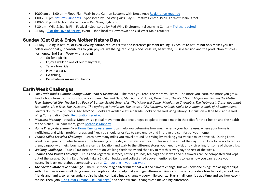- 10:00 am or 1:00 pm Flood Plain Walk in the Cannon Bottoms with Bruce Ause [Registration required](mailto:redwingbluffs@gmail.com)
- 1:00-2:30 pm [Nature's Sunprints](https://redwingarts.org/clay-creative-center-workshops/natures-sunprints) Sponsored by Red Wing Arts Clay & Creative Center, 1920 Old West Main Street
- 4:00-6:00 pm Electric Vehicle Show Red Wing High School
- 6:30 pm Wild & Scenic Film Festival Sponsored by Red Wing Environmental Learning Center [Tickets](http://redwingelc.com/) required
- All Day ["For the Love of Spring"](https://www.facebook.com/events/291017873146543/?acontext=%7B%22ref%22%3A%2252%22%2C%22action_history%22%3A%22%5b%7B%5C%22surface%5C%22%3A%5C%22share_link%5C%22%2C%5C%22mechanism%5C%22%3A%5C%22share_link%5C%22%2C%5C%22extra_data%5C%22%3A%7B%5C%22invite_link_id%5C%22%3A294527106094678%7D%7D%5d%22%7D) event shop local at Downtown and Old West Main retailers

### **Sunday (Get Out & Enjoy Mother Nature Day)**

- All Day Being in nature, or even viewing nature, reduces stress and increases pleasant feeling. Exposure to nature not only makes you feel better emotionally, it contributes to your physical wellbeing, reducing blood pressure, heart rate, muscle tension and the production of stress hormones. End Earth Week with a bang!
	- o Go for a picnic,
	- $\circ$  Enjoy a walk on one of our many trails,
	- o Take a bike ride,
	- $\circ$  Play in a park,
	- o Go fishing,
	- o Do whatever makes you happy.

#### **Earth Week Challenges**

- Fair Trade Books Climate Change Book Read & Discussion The more you read, the more you learn. The more you learn, the more you grow. Read a book from tour list or choose your own: *The Red Deal, Merchants of Doubt, Drawdown, The Next Great Migration, Finding the Mother Tree, Entangled Life, The Big Bad Book of Botany, Bright Green Lies, The Water will Come, Midnight in Chernobyl, The Nutmegs's Curse, doughnut Economics, Lie a Tree, The Overstory, The Hydrogen Revolution, The Insect Crisis, Fathoms, Animals Make Us Human, Islands of Abandonment, Carrots Don't Grow on Trees, The Treeline.* Books are available at Fair Trade Books or the Red Wing Library. Discussion will be held at the Red Wing Conservation Club. [Registration required](mailto:fairtradebooksrw@gmail.com)
- *Meatless Monday* Meatless Monday is a global movement that encourages people to reduce meat in their diet for their health and the health of the planet. To learn more, go to [Meatless Monday](https://www.mondaycampaigns.org/meatless-monday/about)
- *Home Energy Assessment –* A [Home Energy Assessment](https://www.energy.gov/energysaver/home-energy-assessments) can help you determine how much energy your home uses, where your home is inefficient, and which problem areas and fixes you should prioritize to save energy and improve the comfort of your home.
- *Vehicle Miles Traveled Challenge* Learn how many miles you travel around Red Wing by tracking your vehicle miles traveled. During Earth Week reset your odometer to zero at the beginning of the day and write down your mileage at the end of the day. Then look for ways to reduce them, carpool with neighbors, park in a central location and walk to the different stores you need to visit or try bicycling for some of those trips.
- *Walking Challenge* Take 10,00 steps or more on Walking Wednesday and then try to match is everyday the rest of the week.
- *Reduce Food Waste Challenge* Fruits and vegetable scrapes, coffee grounds, tea bags and leaves and cut flowers can be composted and kept out of the garage. During Earth Week, take a 5-gallon bucket and collect all of above-mentioned items to learn how you can reduce your waste. To learn more about composting, go to: [Composting in your backyard](https://www.pca.state.mn.us/waste/composting-your-backyard)
- *The Great Climate Bike Challenge* There isn't one magic silver bullet that will end climate change, but we know one thing: replacing car trips with bike rides is one small thing everyday people can do to help make a huge difference. Simply put, when you ride a bike to work, school, see friends and family, to run errands, you're helping combat climate change – every mile counts. Start small, one ride at a time and see how easy it can be. Then, join ["The Great Climate Bike Challenge"](https://oneride.peopleforbikes.org/) and see how small changes can make a big difference.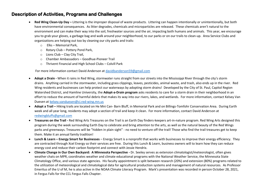#### **Description of Activities, Programs and Challenges**

- **Red Wing Clean-Up Day –** Littering is the improper disposal of waste products. Littering can happen intentionally or unintentionally, but both have environmental consequences. As litter degrades, chemicals and microparticles are released. These chemicals aren't natural to the environment and can make their way into the soil, freshwater sources and the air, impacting both humans and animals. This year, we encourage you to grab your gloves, a garbage bag and walk around your neighborhood, to our parks or on our trails to clean-up. Area Service Clubs and organizations are helping out too by cleaning our city parks and trails:
	- o Elks Memorial Park,
	- o Rotary Club Pottery Pond Park,
	- $\circ$  Lions Club Clay City Trail,
	- o Chamber Ambassadors Goodhue-Pioneer Trail
	- o Thrivent Financial and High School Clubs Colvill Park

For more information contact David Anderson at [davidbanderson59@gmail.com](mailto:davidbanderson59@gmail.com)

- **Adopt a Drain -** When it rains in Red Wing, stormwater runs straight from our streets into the Mississippi River through the city's storm drains. Anything carried in the stormwater, including grass clippings, leaves, pesticides, animal waste, and trash, also ends up in the river. Red Wing residents and businesses can help protect our waterways by adopting storm drains! Developed by the City of St. Paul, Capitol Region Watershed District, and Hamline University, the **Adopt-a-Drain program** asks residents to care for a storm drain in their neighborhood in an effort to reduce the amount of harmful debris that makes its way into our rivers, lakes, and wetlands. For more information, contact Kelsey Van Duesen a[t kelsey.vanduesen@ci.red-wing.mn.us](mailto:kelsey.vanduesen@ci.red-wing.mn.us)
- **Adopt a Trail –** Hiking trails are located on He Mni Can- Barn Bluff, in Memorial Park and on Billings-Tomfohr Conservation Area. During Earth week and all year long, residents may adopt a section of trail and keep it clean. For more information, contact David Anderson at [redwingbluffs@gmail.com](mailto:redwingbluffs@gmail.com)
- **Treasures on the Trail -** Red Wing Arts Treasures on the Trail is an Earth Day finders-keepers art-in-nature program. Red Wing Arts designed this program during the week surrounding Earth Day to celebrate and bring attention to the arts, as well as the natural beauty of the Red Wings parks and greenways. Treasures will be "hidden in plain sight" - no need to venture off the trail! Those who find the trail treasures get to keep them. Make it an annual family tradition!
- **Lunch & Learn – Energy Smart for Businesses** Energy Smart is a nonprofit that works with businesses to improve their energy efficiency. They are contracted through Xcel Energy so their services are free. During this Lunch & Learn, business owners will to learn how they can reduce energy cost and reduce their carbon footprint and connect with Jessie Hendrix.
- **Climate Change in Our Own Backyard: A Minnesota Perspective -** Dr. Seeley serves as extension climatologist/meteorologist, often gives weather chats on MPR, coordinates weather and climate educational programs with the National Weather Service, the Minnesota State Climatology Office, and various state agencies. His faculty appointment is split between research (20%) and extension (80%) programs related to the utilization of meteorological and climatological data for agricultural production systems and management of natural resources. As Professor Emeritus of the U of M, he is also active in the NOAA Climate Literacy Program. Mark's presentation was recorded in person October 28, 2021, in Fergus Falls for the CCL Fergus Falls Chapter.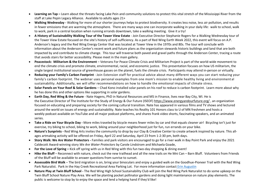- **Learning on Tap –** Learn about the threats facing Lake Pein and community solutions to protect this vital stretch of the Mississippi River from the staff at Lake Pepin Legacy Alliance. Available to adults ages 21+
- **Walking Wednesday -** Walking for more of our shorter journeys helps to protect biodiversity. It creates less noise, less air pollution, and results in fewer emissions that are warming the atmosphere. There are many ways one can incorporate walking in your daily life: walk to school, walk to work, park in a central location when running errands downtown, take a walking meeting. Give it a try!
- **A History of Sustainability Walking Tour of the Tower View Estate** Join Executive Director Stephanie Rogers for a Walking Wednesday tour of the Tower View Estate focused on the site's history of self-sufficiency. As a part of Red Wing Earth Week 2022, this event will focus on A.P. Anderson's legacy and the Red Wing Energy Center that was located at Tower View in the 1970s and 80s. The tour will conclude with information about the Anderson Center's recent work and future plans as the organization stewards historic buildings and land that are both impacted by and contribute to climate change. This tour will traverse both paved and gravel paths through the Anderson Center, tracing a route that avoids stairs for better accessibility. Please meet in the main gallery.
- **Peacestock: Militarism & the Environment** Veterans For Peace Climate Crisis and Militarism Project is part of the world-wide movement to end the climate crisis and promote climate, environmental, racial, and economic justice. This presentation focuses on how US militarism, the single largest institutional source of greenhouse gasses on the planet, fuels the climate crisis. Participants may attend in-person or virtually.
- **Reducing your Family's Carbon Footprint** Join Extension staff for practical advice about many different ways you can start reducing your family's carbon footprint. The webinar uses personal examples from one mom's mission to enable healthy living and environment al sustainability. Additionally, we will offer recommendations on how to handle the emotional impacts of climate stress.
- **Solar Panels on Your Roof & Solar Gardens** Chad Kono installed solar panels on his roof to reduce is carbon footprint. Learn more about why he has done this and other options like supporting in solar gardens.
- **Earth Day, Red Wing & the Future** Nate Hagens, PhD in Natural Resources and MS in Finance, lives near Bay City, WI. He is the Executive Director of The Institute for the Study of Energy & Our Future (ISEOF) [https://www.energyandourfuture.org/](https://nam12.safelinks.protection.outlook.com/?url=https%3A%2F%2Fwww.energyandourfuture.org%2F&data=04%7C01%7C%7C9328e93009064d541a1108da06c3e787%7C84df9e7fe9f640afb435aaaaaaaaaaaa%7C1%7C0%7C637829735723918391%7CUnknown%7CTWFpbGZsb3d8eyJWIjoiMC4wLjAwMDAiLCJQIjoiV2luMzIiLCJBTiI6Ik1haWwiLCJXVCI6Mn0%3D%7C3000&sdata=1j%2BwJgq3Wf92L92qQmMx0MOaCzuyNCyXaw%2FvknvISsI%3D&reserved=0) , an organization focused on educating and preparing society for the coming cultural transition. Nate has appeared in various films and TV shows and lectured around the world on issues of energy and sustainability. Nate teaches his Reality 101 Honors class to U of MN freshmen and hosts a weekly podcast available on YouTube and all major podcast platforms, and shares frank video shorts, fascinating speakers, and an animated series.
- **Take a Ride on Your Bicycle Day -** More miles traveled by bicycle means fewer miles by car and that equals cleaner air! Bicycling isn't just for exercise, try biking to school, biking to work, biking around your neighborhood just for fun, run errands on your bike.
- **Nature's Sunprints -** Red Wing Arts invites the community to drop by our Clay & Creative Center to create artwork inspired by nature. This allages artmaking activity will be offered on Friday, April 22 and Saturday, April 23 from 1-2:30 pm, both days.
- **Story Walk: We Are Water Protectors -** Families and park visitors are encouraged to go for a river walk in Bay Point Park and enjoy the 2021 Caldecott Award-winning story *We Are Water Protectors* by Carole Lindstrom and Michaela Goade,
- **For the Love of Spring –** Kick off spring with us in Red Wing with this fun two-day shopping & dining event!
- **Hike the Bluff** Reconnect with nature, check out the new trailhead and all the new trails on He Mni Can Barn Bluff. Volunteers from Friends of the Bluff will be available to answer questions from sunrise to sunset.
- **Assessable Bird Walk** The bird migration is on, bring your binoculars and enjoy a guided walk on the Goodhue-Pioneer Trail with the Red Wing Park Naturalist. Park in the Hay Creek Recreational Area Parking Lot. For more information contact [Erin Augustin](mailto:ekaugustin@rwps.org)
- **Nature Play at Twin Bluff School -** The Red Wing High School Sustainability Club will join the Red Wing Park Naturalist to do some upkeep on the Twin Bluff School Nature Play Area. We will be planting pocket pollinator gardens and doing light maintenance on nature play elements. The public is welcome to stop by to enjoy the space and lend a helping hand if they'd like!